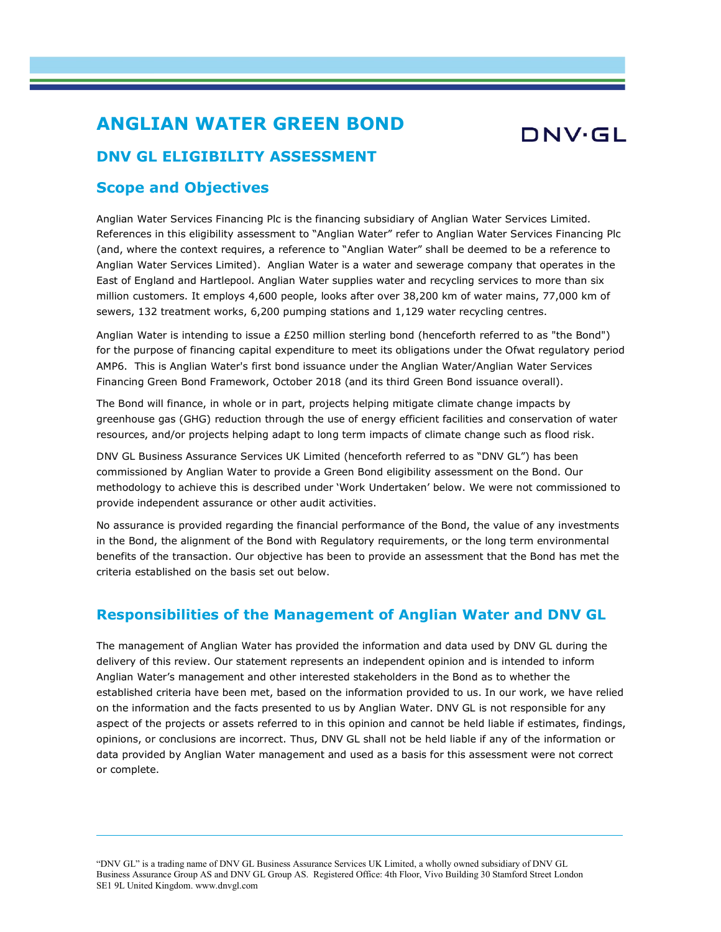## ANGLIAN WATER GREEN BOND

# DNV·GL

### DNV GL ELIGIBILITY ASSESSMENT

### Scope and Objectives

Anglian Water Services Financing Plc is the financing subsidiary of Anglian Water Services Limited. References in this eligibility assessment to "Anglian Water" refer to Anglian Water Services Financing Plc (and, where the context requires, a reference to "Anglian Water" shall be deemed to be a reference to Anglian Water Services Limited). Anglian Water is a water and sewerage company that operates in the East of England and Hartlepool. Anglian Water supplies water and recycling services to more than six million customers. It employs 4,600 people, looks after over 38,200 km of water mains, 77,000 km of sewers, 132 treatment works, 6,200 pumping stations and 1,129 water recycling centres.

Anglian Water is intending to issue a £250 million sterling bond (henceforth referred to as "the Bond") for the purpose of financing capital expenditure to meet its obligations under the Ofwat regulatory period AMP6. This is Anglian Water's first bond issuance under the Anglian Water/Anglian Water Services Financing Green Bond Framework, October 2018 (and its third Green Bond issuance overall).

The Bond will finance, in whole or in part, projects helping mitigate climate change impacts by greenhouse gas (GHG) reduction through the use of energy efficient facilities and conservation of water resources, and/or projects helping adapt to long term impacts of climate change such as flood risk.

DNV GL Business Assurance Services UK Limited (henceforth referred to as "DNV GL") has been commissioned by Anglian Water to provide a Green Bond eligibility assessment on the Bond. Our methodology to achieve this is described under 'Work Undertaken' below. We were not commissioned to provide independent assurance or other audit activities.

No assurance is provided regarding the financial performance of the Bond, the value of any investments in the Bond, the alignment of the Bond with Regulatory requirements, or the long term environmental benefits of the transaction. Our objective has been to provide an assessment that the Bond has met the criteria established on the basis set out below.

### Responsibilities of the Management of Anglian Water and DNV GL

The management of Anglian Water has provided the information and data used by DNV GL during the delivery of this review. Our statement represents an independent opinion and is intended to inform Anglian Water's management and other interested stakeholders in the Bond as to whether the established criteria have been met, based on the information provided to us. In our work, we have relied on the information and the facts presented to us by Anglian Water. DNV GL is not responsible for any aspect of the projects or assets referred to in this opinion and cannot be held liable if estimates, findings, opinions, or conclusions are incorrect. Thus, DNV GL shall not be held liable if any of the information or data provided by Anglian Water management and used as a basis for this assessment were not correct or complete.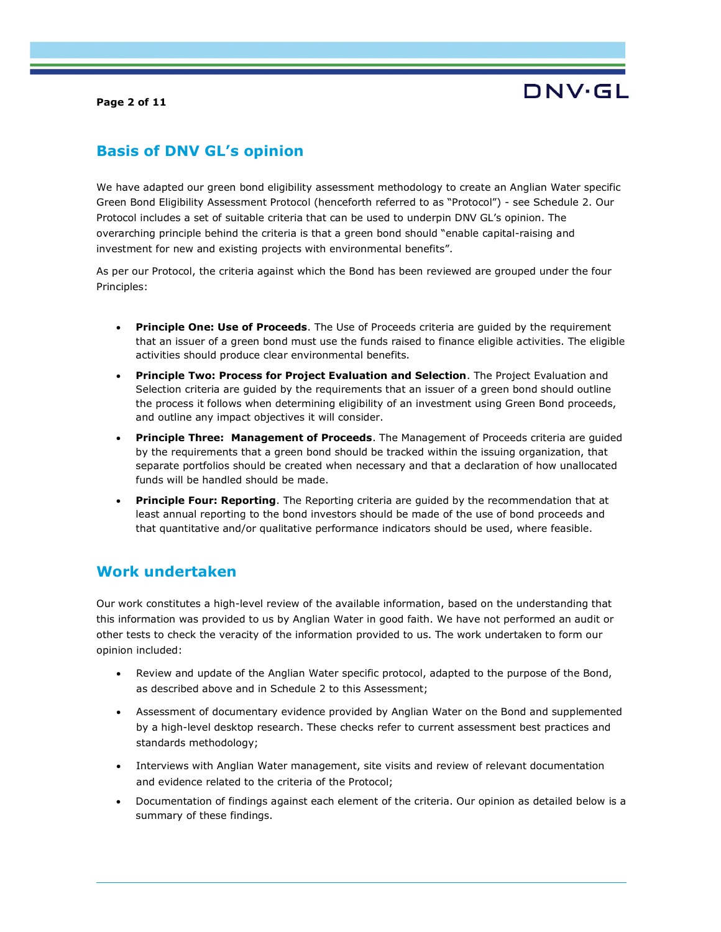Page 2 of 11

# DNV·GL

## Basis of DNV GL's opinion

We have adapted our green bond eligibility assessment methodology to create an Anglian Water specific Green Bond Eligibility Assessment Protocol (henceforth referred to as "Protocol") - see Schedule 2. Our Protocol includes a set of suitable criteria that can be used to underpin DNV GL's opinion. The overarching principle behind the criteria is that a green bond should "enable capital-raising and investment for new and existing projects with environmental benefits".

As per our Protocol, the criteria against which the Bond has been reviewed are grouped under the four Principles:

- **Principle One: Use of Proceeds**. The Use of Proceeds criteria are guided by the requirement that an issuer of a green bond must use the funds raised to finance eligible activities. The eligible activities should produce clear environmental benefits.
- Principle Two: Process for Project Evaluation and Selection. The Project Evaluation and Selection criteria are guided by the requirements that an issuer of a green bond should outline the process it follows when determining eligibility of an investment using Green Bond proceeds, and outline any impact objectives it will consider.
- **Principle Three: Management of Proceeds.** The Management of Proceeds criteria are guided by the requirements that a green bond should be tracked within the issuing organization, that separate portfolios should be created when necessary and that a declaration of how unallocated funds will be handled should be made.
- **Principle Four: Reporting**. The Reporting criteria are quided by the recommendation that at least annual reporting to the bond investors should be made of the use of bond proceeds and that quantitative and/or qualitative performance indicators should be used, where feasible.

### Work undertaken

Our work constitutes a high-level review of the available information, based on the understanding that this information was provided to us by Anglian Water in good faith. We have not performed an audit or other tests to check the veracity of the information provided to us. The work undertaken to form our opinion included:

- Review and update of the Anglian Water specific protocol, adapted to the purpose of the Bond, as described above and in Schedule 2 to this Assessment;
- Assessment of documentary evidence provided by Anglian Water on the Bond and supplemented by a high-level desktop research. These checks refer to current assessment best practices and standards methodology;
- Interviews with Anglian Water management, site visits and review of relevant documentation and evidence related to the criteria of the Protocol;
- Documentation of findings against each element of the criteria. Our opinion as detailed below is a summary of these findings.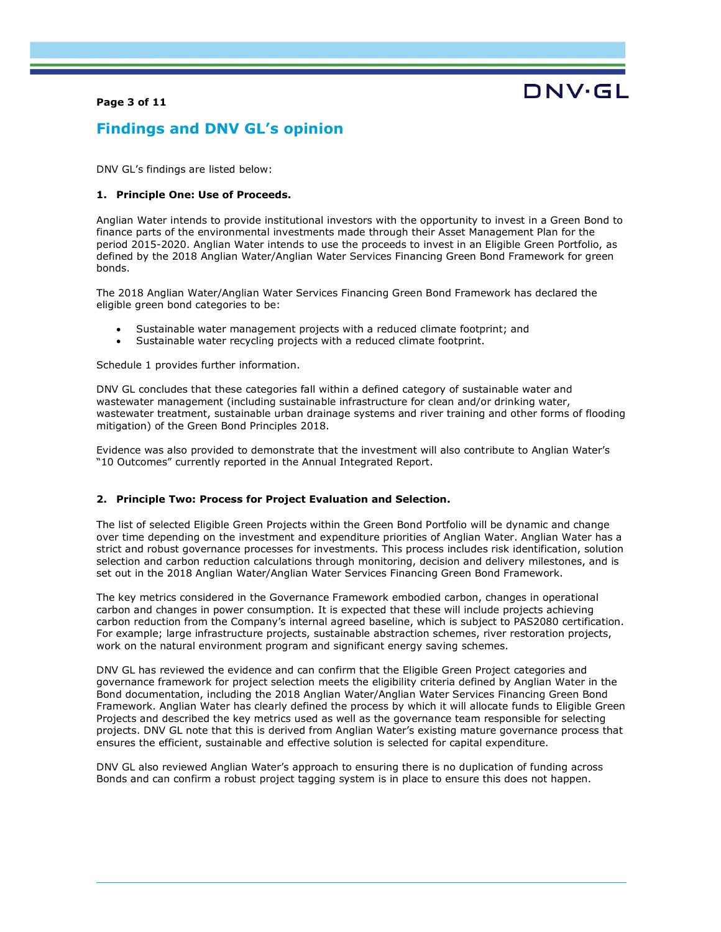#### Page 3 of 11



### Findings and DNV GL's opinion

DNV GL's findings are listed below:

#### 1. Principle One: Use of Proceeds.

Anglian Water intends to provide institutional investors with the opportunity to invest in a Green Bond to finance parts of the environmental investments made through their Asset Management Plan for the period 2015-2020. Anglian Water intends to use the proceeds to invest in an Eligible Green Portfolio, as defined by the 2018 Anglian Water/Anglian Water Services Financing Green Bond Framework for green bonds.

The 2018 Anglian Water/Anglian Water Services Financing Green Bond Framework has declared the eligible green bond categories to be:

- Sustainable water management projects with a reduced climate footprint; and
- Sustainable water recycling projects with a reduced climate footprint.

Schedule 1 provides further information.

DNV GL concludes that these categories fall within a defined category of sustainable water and wastewater management (including sustainable infrastructure for clean and/or drinking water, wastewater treatment, sustainable urban drainage systems and river training and other forms of flooding mitigation) of the Green Bond Principles 2018.

Evidence was also provided to demonstrate that the investment will also contribute to Anglian Water's "10 Outcomes" currently reported in the Annual Integrated Report.

#### 2. Principle Two: Process for Project Evaluation and Selection.

The list of selected Eligible Green Projects within the Green Bond Portfolio will be dynamic and change over time depending on the investment and expenditure priorities of Anglian Water. Anglian Water has a strict and robust governance processes for investments. This process includes risk identification, solution selection and carbon reduction calculations through monitoring, decision and delivery milestones, and is set out in the 2018 Anglian Water/Anglian Water Services Financing Green Bond Framework.

The key metrics considered in the Governance Framework embodied carbon, changes in operational carbon and changes in power consumption. It is expected that these will include projects achieving carbon reduction from the Company's internal agreed baseline, which is subject to PAS2080 certification. For example; large infrastructure projects, sustainable abstraction schemes, river restoration projects, work on the natural environment program and significant energy saving schemes.

DNV GL has reviewed the evidence and can confirm that the Eligible Green Project categories and governance framework for project selection meets the eligibility criteria defined by Anglian Water in the Bond documentation, including the 2018 Anglian Water/Anglian Water Services Financing Green Bond Framework. Anglian Water has clearly defined the process by which it will allocate funds to Eligible Green Projects and described the key metrics used as well as the governance team responsible for selecting projects. DNV GL note that this is derived from Anglian Water's existing mature governance process that ensures the efficient, sustainable and effective solution is selected for capital expenditure.

DNV GL also reviewed Anglian Water's approach to ensuring there is no duplication of funding across Bonds and can confirm a robust project tagging system is in place to ensure this does not happen.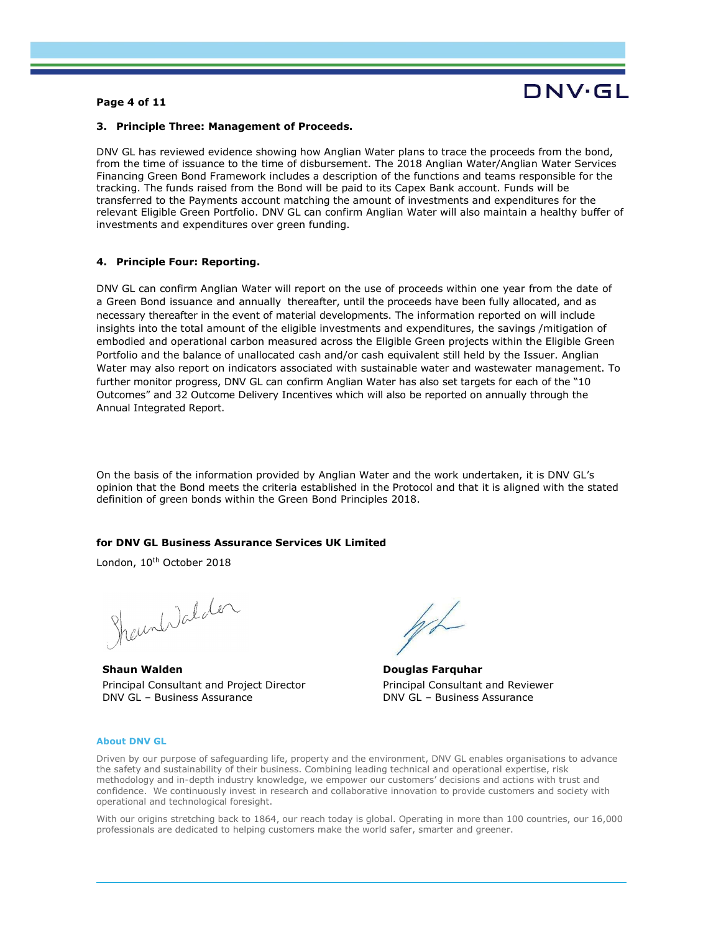#### Page 4 of 11

# DNV·GL

#### 3. Principle Three: Management of Proceeds.

DNV GL has reviewed evidence showing how Anglian Water plans to trace the proceeds from the bond, from the time of issuance to the time of disbursement. The 2018 Anglian Water/Anglian Water Services Financing Green Bond Framework includes a description of the functions and teams responsible for the tracking. The funds raised from the Bond will be paid to its Capex Bank account. Funds will be transferred to the Payments account matching the amount of investments and expenditures for the relevant Eligible Green Portfolio. DNV GL can confirm Anglian Water will also maintain a healthy buffer of investments and expenditures over green funding.

#### 4. Principle Four: Reporting.

DNV GL can confirm Anglian Water will report on the use of proceeds within one year from the date of a Green Bond issuance and annually thereafter, until the proceeds have been fully allocated, and as necessary thereafter in the event of material developments. The information reported on will include insights into the total amount of the eligible investments and expenditures, the savings /mitigation of embodied and operational carbon measured across the Eligible Green projects within the Eligible Green Portfolio and the balance of unallocated cash and/or cash equivalent still held by the Issuer. Anglian Water may also report on indicators associated with sustainable water and wastewater management. To further monitor progress, DNV GL can confirm Anglian Water has also set targets for each of the "10 Outcomes" and 32 Outcome Delivery Incentives which will also be reported on annually through the Annual Integrated Report.

On the basis of the information provided by Anglian Water and the work undertaken, it is DNV GL's opinion that the Bond meets the criteria established in the Protocol and that it is aligned with the stated definition of green bonds within the Green Bond Principles 2018.

#### for DNV GL Business Assurance Services UK Limited

London, 10<sup>th</sup> October 2018

Shamhdalder

Shaun Walden Principal Consultant and Project Director DNV GL – Business Assurance

Douglas Farquhar Principal Consultant and Reviewer DNV GL – Business Assurance

#### About DNV GL

Driven by our purpose of safeguarding life, property and the environment, DNV GL enables organisations to advance the safety and sustainability of their business. Combining leading technical and operational expertise, risk methodology and in-depth industry knowledge, we empower our customers' decisions and actions with trust and confidence. We continuously invest in research and collaborative innovation to provide customers and society with operational and technological foresight.

With our origins stretching back to 1864, our reach today is global. Operating in more than 100 countries, our 16,000 professionals are dedicated to helping customers make the world safer, smarter and greener.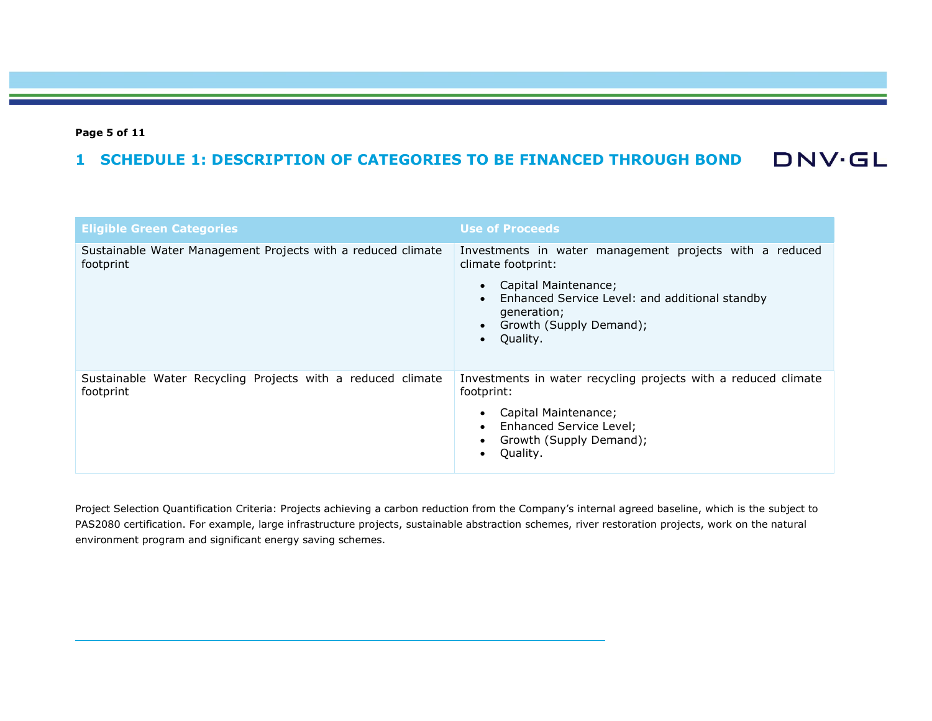#### Page 5 of 11

#### **DNV·GL** 1 SCHEDULE 1: DESCRIPTION OF CATEGORIES TO BE FINANCED THROUGH BOND

| <b>Eligible Green Categories</b>                                          | <b>Use of Proceeds</b>                                                                                                                                                                            |
|---------------------------------------------------------------------------|---------------------------------------------------------------------------------------------------------------------------------------------------------------------------------------------------|
| Sustainable Water Management Projects with a reduced climate<br>footprint | Investments in water management projects with a reduced<br>climate footprint:<br>Capital Maintenance;<br>Enhanced Service Level: and additional standby<br>generation;<br>Growth (Supply Demand); |
|                                                                           | Quality.                                                                                                                                                                                          |
| Sustainable Water Recycling Projects with a reduced climate<br>footprint  | Investments in water recycling projects with a reduced climate<br>footprint:<br>Capital Maintenance;                                                                                              |
|                                                                           | Enhanced Service Level;<br>Growth (Supply Demand);<br>Quality.                                                                                                                                    |

Project Selection Quantification Criteria: Projects achieving a carbon reduction from the Company's internal agreed baseline, which is the subject to PAS2080 certification. For example, large infrastructure projects, sustainable abstraction schemes, river restoration projects, work on the natural environment program and significant energy saving schemes.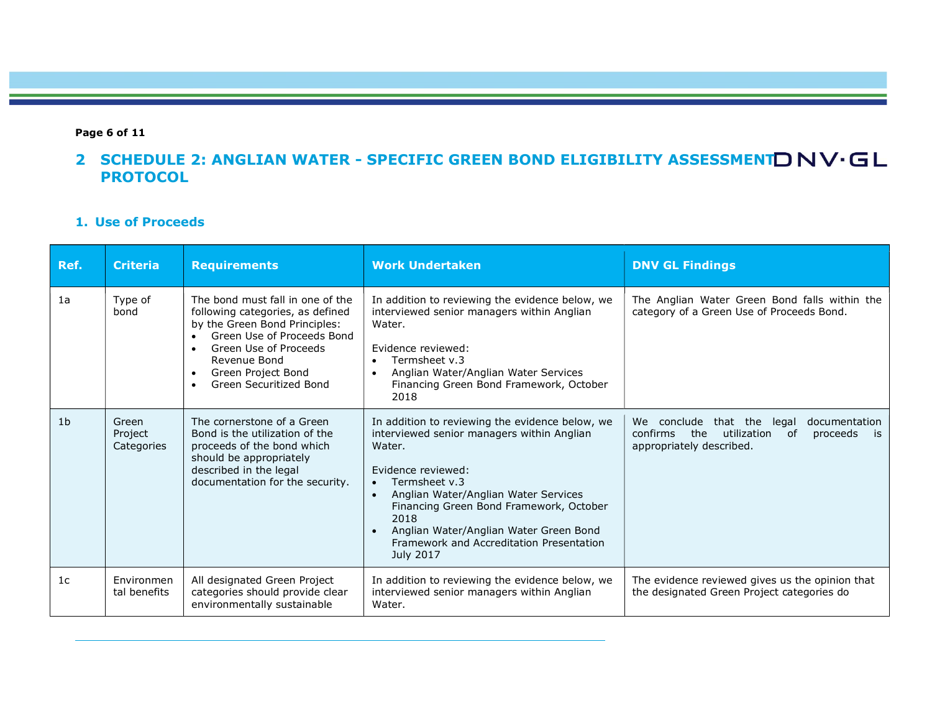### Page 6 of 11

## 2 SCHEDULE 2: ANGLIAN WATER - SPECIFIC GREEN BOND ELIGIBILITY ASSESSMENT D NV·GL **PROTOCOL**

### 1. Use of Proceeds

| Ref.           | <b>Criteria</b>                | <b>Requirements</b>                                                                                                                                                                                                                       | <b>Work Undertaken</b>                                                                                                                                                                                                                                                                                                                                                 | <b>DNV GL Findings</b>                                                                                                               |
|----------------|--------------------------------|-------------------------------------------------------------------------------------------------------------------------------------------------------------------------------------------------------------------------------------------|------------------------------------------------------------------------------------------------------------------------------------------------------------------------------------------------------------------------------------------------------------------------------------------------------------------------------------------------------------------------|--------------------------------------------------------------------------------------------------------------------------------------|
| 1a             | Type of<br>bond                | The bond must fall in one of the<br>following categories, as defined<br>by the Green Bond Principles:<br>Green Use of Proceeds Bond<br>Green Use of Proceeds<br>Revenue Bond<br>Green Project Bond<br>$\bullet$<br>Green Securitized Bond | In addition to reviewing the evidence below, we<br>interviewed senior managers within Anglian<br>Water.<br>Evidence reviewed:<br>Termsheet v.3<br>$\bullet$<br>Anglian Water/Anglian Water Services<br>$\bullet$<br>Financing Green Bond Framework, October<br>2018                                                                                                    | The Anglian Water Green Bond falls within the<br>category of a Green Use of Proceeds Bond.                                           |
| 1 <sub>b</sub> | Green<br>Project<br>Categories | The cornerstone of a Green<br>Bond is the utilization of the<br>proceeds of the bond which<br>should be appropriately<br>described in the legal<br>documentation for the security.                                                        | In addition to reviewing the evidence below, we<br>interviewed senior managers within Anglian<br>Water.<br>Evidence reviewed:<br>Termsheet v.3<br>$\bullet$<br>Anglian Water/Anglian Water Services<br>$\bullet$<br>Financing Green Bond Framework, October<br>2018<br>Anglian Water/Anglian Water Green Bond<br>Framework and Accreditation Presentation<br>July 2017 | conclude<br>that the legal<br>documentation<br>We<br>confirms<br>the<br>utilization<br>proceeds is<br>0f<br>appropriately described. |
| 1 <sub>c</sub> | Environmen<br>tal benefits     | All designated Green Project<br>categories should provide clear<br>environmentally sustainable                                                                                                                                            | In addition to reviewing the evidence below, we<br>interviewed senior managers within Anglian<br>Water.                                                                                                                                                                                                                                                                | The evidence reviewed gives us the opinion that<br>the designated Green Project categories do                                        |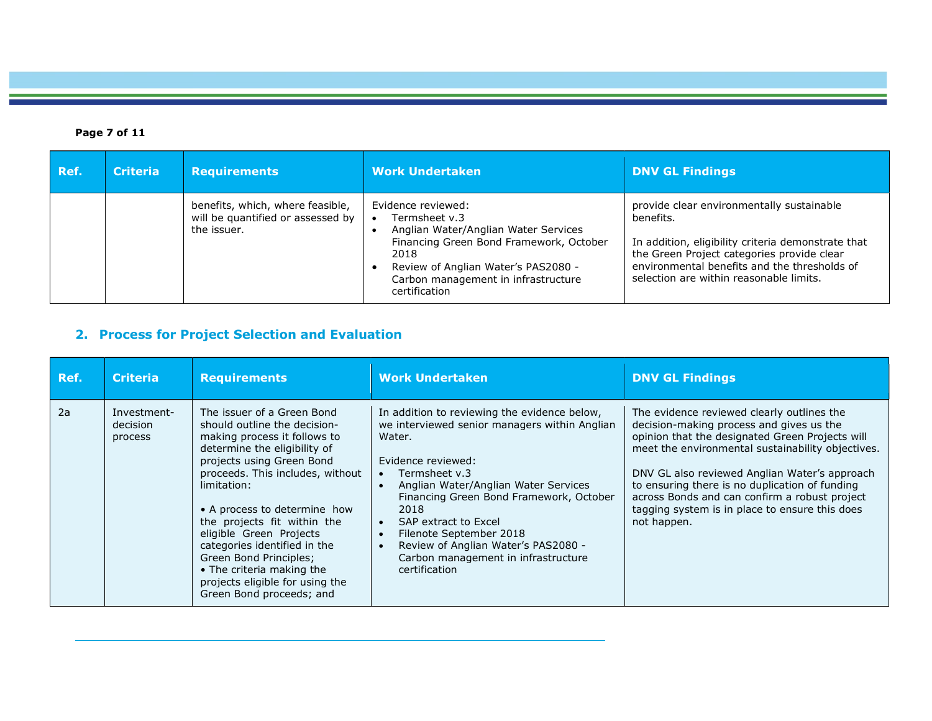### Page 7 of 11

| Ref. | <b>Criteria</b> | <b>Requirements</b>                                                                  | <b>Work Undertaken</b>                                                                                                                                                                                                        | <b>DNV GL Findings</b>                                                                                                                                                                                                                                |
|------|-----------------|--------------------------------------------------------------------------------------|-------------------------------------------------------------------------------------------------------------------------------------------------------------------------------------------------------------------------------|-------------------------------------------------------------------------------------------------------------------------------------------------------------------------------------------------------------------------------------------------------|
|      |                 | benefits, which, where feasible,<br>will be quantified or assessed by<br>the issuer. | Evidence reviewed:<br>Termsheet v.3<br>Anglian Water/Anglian Water Services<br>Financing Green Bond Framework, October<br>2018<br>Review of Anglian Water's PAS2080 -<br>Carbon management in infrastructure<br>certification | provide clear environmentally sustainable<br>benefits.<br>In addition, eligibility criteria demonstrate that<br>the Green Project categories provide clear<br>environmental benefits and the thresholds of<br>selection are within reasonable limits. |

### 2. Process for Project Selection and Evaluation

| Ref. | <b>Criteria</b>                    | <b>Requirements</b>                                                                                                                                                                                                                                                                                                                                                                                                                                        | <b>Work Undertaken</b>                                                                                                                                                                                                                                                                                                                                                                                                | <b>DNV GL Findings</b>                                                                                                                                                                                                                                                                                                                                                                                              |
|------|------------------------------------|------------------------------------------------------------------------------------------------------------------------------------------------------------------------------------------------------------------------------------------------------------------------------------------------------------------------------------------------------------------------------------------------------------------------------------------------------------|-----------------------------------------------------------------------------------------------------------------------------------------------------------------------------------------------------------------------------------------------------------------------------------------------------------------------------------------------------------------------------------------------------------------------|---------------------------------------------------------------------------------------------------------------------------------------------------------------------------------------------------------------------------------------------------------------------------------------------------------------------------------------------------------------------------------------------------------------------|
| 2a   | Investment-<br>decision<br>process | The issuer of a Green Bond<br>should outline the decision-<br>making process it follows to<br>determine the eligibility of<br>projects using Green Bond<br>proceeds. This includes, without<br>limitation:<br>• A process to determine how<br>the projects fit within the<br>eligible Green Projects<br>categories identified in the<br>Green Bond Principles;<br>• The criteria making the<br>projects eligible for using the<br>Green Bond proceeds; and | In addition to reviewing the evidence below,<br>we interviewed senior managers within Anglian<br>Water.<br>Evidence reviewed:<br>Termsheet v.3<br>Anglian Water/Anglian Water Services<br>Financing Green Bond Framework, October<br>2018<br>SAP extract to Excel<br>Filenote September 2018<br>$\bullet$<br>Review of Anglian Water's PAS2080 -<br>$\bullet$<br>Carbon management in infrastructure<br>certification | The evidence reviewed clearly outlines the<br>decision-making process and gives us the<br>opinion that the designated Green Projects will<br>meet the environmental sustainability objectives.<br>DNV GL also reviewed Anglian Water's approach<br>to ensuring there is no duplication of funding<br>across Bonds and can confirm a robust project<br>tagging system is in place to ensure this does<br>not happen. |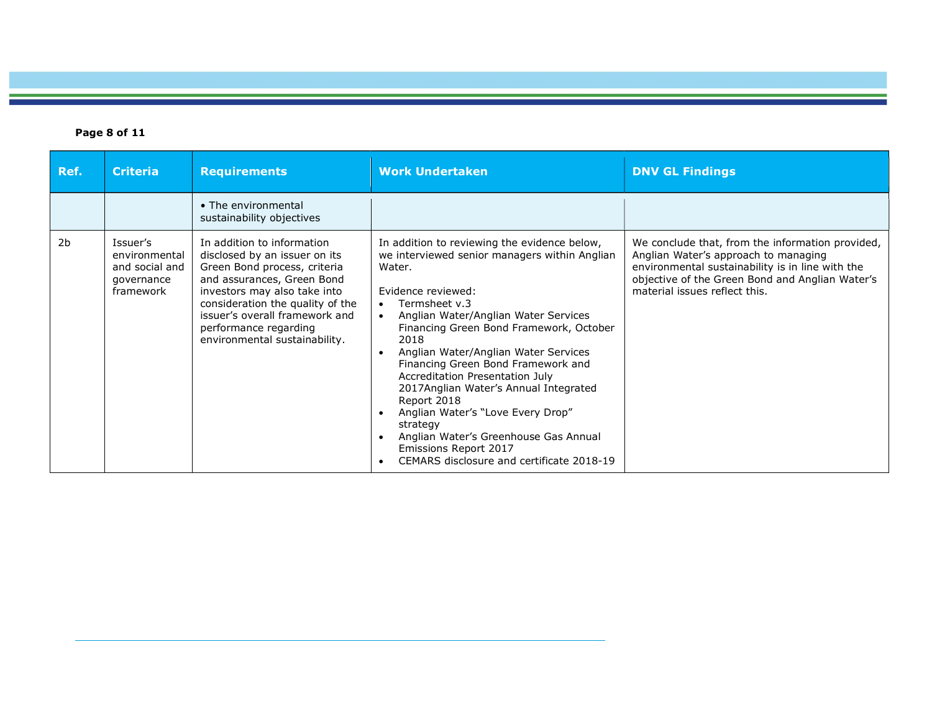### Page 8 of 11

| Ref.           | <b>Criteria</b>                                                        | <b>Requirements</b>                                                                                                                                                                                                                                                                       | <b>Work Undertaken</b>                                                                                                                                                                                                                                                                                                                                                                                                                                                                                                                                                                                                                                           | <b>DNV GL Findings</b>                                                                                                                                                                                                           |
|----------------|------------------------------------------------------------------------|-------------------------------------------------------------------------------------------------------------------------------------------------------------------------------------------------------------------------------------------------------------------------------------------|------------------------------------------------------------------------------------------------------------------------------------------------------------------------------------------------------------------------------------------------------------------------------------------------------------------------------------------------------------------------------------------------------------------------------------------------------------------------------------------------------------------------------------------------------------------------------------------------------------------------------------------------------------------|----------------------------------------------------------------------------------------------------------------------------------------------------------------------------------------------------------------------------------|
|                |                                                                        | • The environmental<br>sustainability objectives                                                                                                                                                                                                                                          |                                                                                                                                                                                                                                                                                                                                                                                                                                                                                                                                                                                                                                                                  |                                                                                                                                                                                                                                  |
| 2 <sub>b</sub> | Issuer's<br>environmental<br>and social and<br>governance<br>framework | In addition to information<br>disclosed by an issuer on its<br>Green Bond process, criteria<br>and assurances, Green Bond<br>investors may also take into<br>consideration the quality of the<br>issuer's overall framework and<br>performance regarding<br>environmental sustainability. | In addition to reviewing the evidence below,<br>we interviewed senior managers within Anglian<br>Water.<br>Evidence reviewed:<br>Termsheet v.3<br>$\bullet$<br>Anglian Water/Anglian Water Services<br>$\bullet$<br>Financing Green Bond Framework, October<br>2018<br>Anglian Water/Anglian Water Services<br>$\bullet$<br>Financing Green Bond Framework and<br>Accreditation Presentation July<br>2017Anglian Water's Annual Integrated<br>Report 2018<br>Anglian Water's "Love Every Drop"<br>$\bullet$<br>strategy<br>Anglian Water's Greenhouse Gas Annual<br>$\bullet$<br>Emissions Report 2017<br>CEMARS disclosure and certificate 2018-19<br>$\bullet$ | We conclude that, from the information provided,<br>Anglian Water's approach to managing<br>environmental sustainability is in line with the<br>objective of the Green Bond and Anglian Water's<br>material issues reflect this. |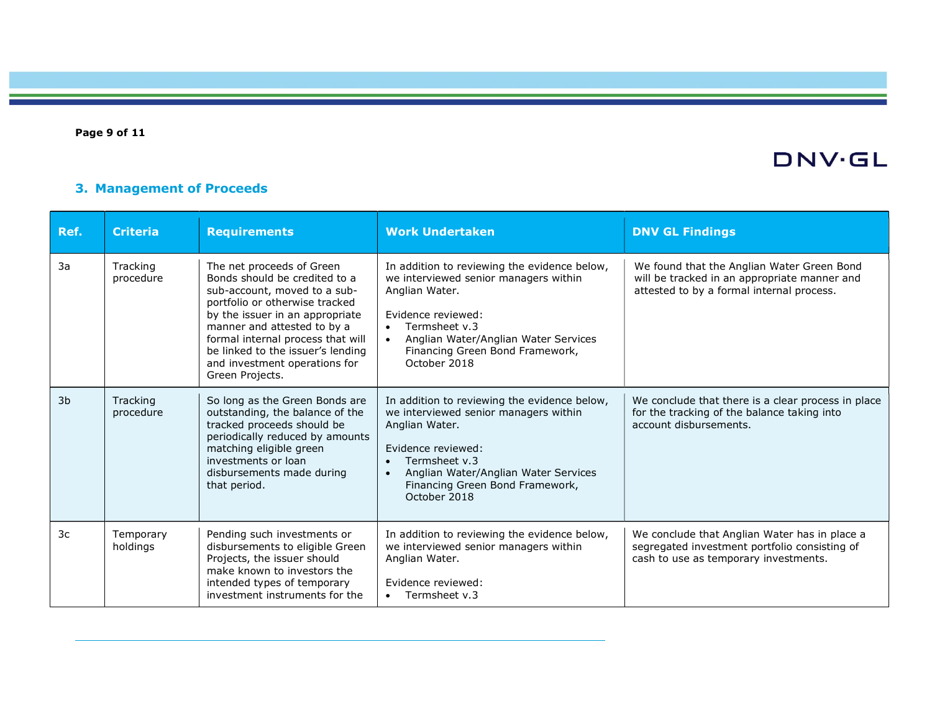Page 9 of 11

# DNV·GL

### 3. Management of Proceeds

| Ref.           | <b>Criteria</b>       | <b>Requirements</b>                                                                                                                                                                                                                                                                                                          | <b>Work Undertaken</b>                                                                                                                                                                                                                                              | <b>DNV GL Findings</b>                                                                                                                  |
|----------------|-----------------------|------------------------------------------------------------------------------------------------------------------------------------------------------------------------------------------------------------------------------------------------------------------------------------------------------------------------------|---------------------------------------------------------------------------------------------------------------------------------------------------------------------------------------------------------------------------------------------------------------------|-----------------------------------------------------------------------------------------------------------------------------------------|
| 3a             | Tracking<br>procedure | The net proceeds of Green<br>Bonds should be credited to a<br>sub-account, moved to a sub-<br>portfolio or otherwise tracked<br>by the issuer in an appropriate<br>manner and attested to by a<br>formal internal process that will<br>be linked to the issuer's lending<br>and investment operations for<br>Green Projects. | In addition to reviewing the evidence below,<br>we interviewed senior managers within<br>Anglian Water.<br>Evidence reviewed:<br>Termsheet v.3<br>$\bullet$<br>Anglian Water/Anglian Water Services<br>$\bullet$<br>Financing Green Bond Framework,<br>October 2018 | We found that the Anglian Water Green Bond<br>will be tracked in an appropriate manner and<br>attested to by a formal internal process. |
| 3 <sub>b</sub> | Tracking<br>procedure | So long as the Green Bonds are<br>outstanding, the balance of the<br>tracked proceeds should be<br>periodically reduced by amounts<br>matching eligible green<br>investments or loan<br>disbursements made during<br>that period.                                                                                            | In addition to reviewing the evidence below,<br>we interviewed senior managers within<br>Anglian Water.<br>Evidence reviewed:<br>Termsheet v.3<br>$\bullet$<br>Anglian Water/Anglian Water Services<br>$\bullet$<br>Financing Green Bond Framework,<br>October 2018 | We conclude that there is a clear process in place<br>for the tracking of the balance taking into<br>account disbursements.             |
| 3c             | Temporary<br>holdings | Pending such investments or<br>disbursements to eligible Green<br>Projects, the issuer should<br>make known to investors the<br>intended types of temporary<br>investment instruments for the                                                                                                                                | In addition to reviewing the evidence below,<br>we interviewed senior managers within<br>Anglian Water.<br>Evidence reviewed:<br>Termsheet v.3<br>$\bullet$                                                                                                         | We conclude that Anglian Water has in place a<br>segregated investment portfolio consisting of<br>cash to use as temporary investments. |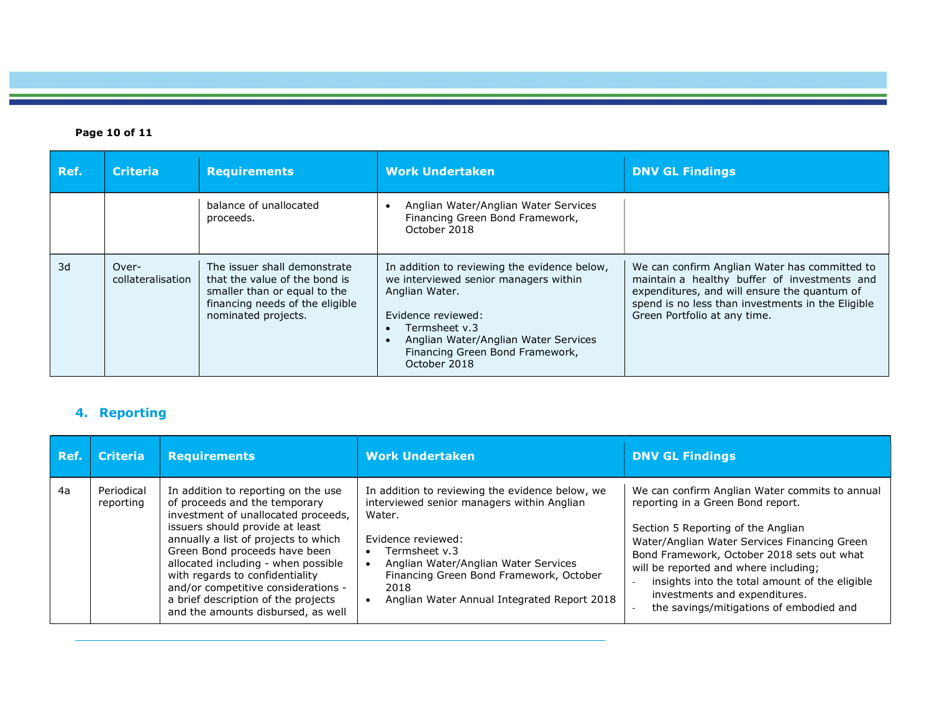### Page 10 of 11

| Ref. | <b>Criteria</b>            | <b>Requirements</b>                                                                                                                                     | <b>Work Undertaken</b>                                                                                                                                                                                                                    | <b>DNV GL Findings</b>                                                                                                                                                                                                             |
|------|----------------------------|---------------------------------------------------------------------------------------------------------------------------------------------------------|-------------------------------------------------------------------------------------------------------------------------------------------------------------------------------------------------------------------------------------------|------------------------------------------------------------------------------------------------------------------------------------------------------------------------------------------------------------------------------------|
|      |                            | balance of unallocated<br>proceeds.                                                                                                                     | Anglian Water/Anglian Water Services<br>Financing Green Bond Framework,<br>October 2018                                                                                                                                                   |                                                                                                                                                                                                                                    |
| 3d   | Over-<br>collateralisation | The issuer shall demonstrate<br>that the value of the bond is<br>smaller than or equal to the<br>financing needs of the eligible<br>nominated projects. | In addition to reviewing the evidence below,<br>we interviewed senior managers within<br>Anglian Water.<br>Evidence reviewed:<br>Termsheet v.3<br>Anglian Water/Anglian Water Services<br>Financing Green Bond Framework,<br>October 2018 | We can confirm Anglian Water has committed to<br>maintain a healthy buffer of investments and<br>expenditures, and will ensure the quantum of<br>spend is no less than investments in the Eligible<br>Green Portfolio at any time. |

## 4. Reporting

| Ref. | <b>Criteria</b>         | <b>Requirements</b>                                                                                                                                                                                                                                                                                                                                                                                                   | <b>Work Undertaken</b>                                                                                                                                                                                                                                                                   | <b>DNV GL Findings</b>                                                                                                                                                                                                                                                                                                                                                                         |
|------|-------------------------|-----------------------------------------------------------------------------------------------------------------------------------------------------------------------------------------------------------------------------------------------------------------------------------------------------------------------------------------------------------------------------------------------------------------------|------------------------------------------------------------------------------------------------------------------------------------------------------------------------------------------------------------------------------------------------------------------------------------------|------------------------------------------------------------------------------------------------------------------------------------------------------------------------------------------------------------------------------------------------------------------------------------------------------------------------------------------------------------------------------------------------|
| 4a   | Periodical<br>reporting | In addition to reporting on the use<br>of proceeds and the temporary<br>investment of unallocated proceeds,<br>issuers should provide at least<br>annually a list of projects to which<br>Green Bond proceeds have been<br>allocated including - when possible<br>with regards to confidentiality<br>and/or competitive considerations -<br>a brief description of the projects<br>and the amounts disbursed, as well | In addition to reviewing the evidence below, we<br>interviewed senior managers within Anglian<br>Water.<br>Evidence reviewed:<br>Termsheet v.3<br>Anglian Water/Anglian Water Services<br>Financing Green Bond Framework, October<br>2018<br>Anglian Water Annual Integrated Report 2018 | We can confirm Anglian Water commits to annual<br>reporting in a Green Bond report.<br>Section 5 Reporting of the Anglian<br>Water/Anglian Water Services Financing Green<br>Bond Framework, October 2018 sets out what<br>will be reported and where including;<br>insights into the total amount of the eligible<br>investments and expenditures.<br>the savings/mitigations of embodied and |